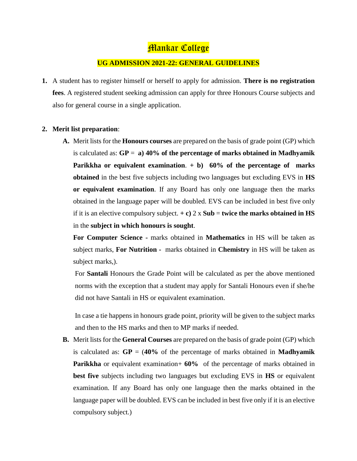## **Mankar College**

#### **UG ADMISSION 2021-22: GENERAL GUIDELINES**

**1.** A student has to register himself or herself to apply for admission. **There is no registration fees**. A registered student seeking admission can apply for three Honours Course subjects and also for general course in a single application.

#### **2. Merit list preparation**:

**A.** Merit lists for the **Honours courses** are prepared on the basis of grade point (GP) which is calculated as: **GP** = **a) 40% of the percentage of marks obtained in Madhyamik Parikkha or equivalent examination**. **+ b) 60% of the percentage of marks obtained** in the best five subjects including two languages but excluding EVS in **HS or equivalent examination**. If any Board has only one language then the marks obtained in the language paper will be doubled. EVS can be included in best five only if it is an elective compulsory subject.  $+ c$ ) 2 x **Sub** = **twice the marks obtained in HS** in the **subject in which honours is sought**.

**For Computer Science -** marks obtained in **Mathematics** in HS will be taken as subject marks, **For Nutrition -** marks obtained in **Chemistry** in HS will be taken as subject marks,).

For **Santali** Honours the Grade Point will be calculated as per the above mentioned norms with the exception that a student may apply for Santali Honours even if she/he did not have Santali in HS or equivalent examination.

In case a tie happens in honours grade point, priority will be given to the subject marks and then to the HS marks and then to MP marks if needed.

**B.** Merit lists for the **General Courses** are prepared on the basis of grade point (GP) which is calculated as:  $\mathbf{GP} = (40\% \text{ of the percentage of marks obtained in **Madhyamik**)$ **Parikkha** or equivalent examination+ **60%** of the percentage of marks obtained in **best five** subjects including two languages but excluding EVS in **HS** or equivalent examination. If any Board has only one language then the marks obtained in the language paper will be doubled. EVS can be included in best five only if it is an elective compulsory subject.)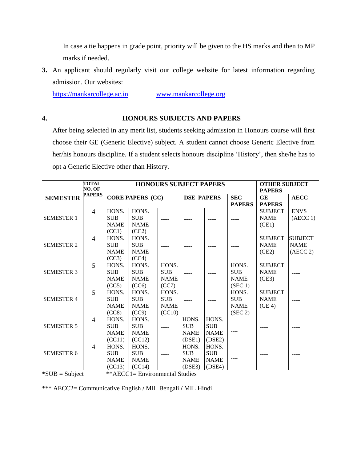In case a tie happens in grade point, priority will be given to the HS marks and then to MP marks if needed.

**3.** An applicant should regularly visit our college website for latest information regarding admission. Our websites:

[https://mankarcollege.ac.in](https://mankarcollege.ac.in/) [www.mankarcollege.org](http://www.mankarcollege.org/)

#### **4. HONOURS SUBJECTS AND PAPERS**

After being selected in any merit list, students seeking admission in Honours course will first choose their GE (Generic Elective) subject. A student cannot choose Generic Elective from her/his honours discipline. If a student selects honours discipline 'History', then she/he has to opt a Generic Elective other than History.

|                   | <b>TOTAL</b><br>NO. OF |                                              |                                              |                                              | <b>HONOURS SUBJECT PAPERS</b>                |                                              |                                               | <b>OTHER SUBJECT</b><br><b>PAPERS</b>               |                                           |  |
|-------------------|------------------------|----------------------------------------------|----------------------------------------------|----------------------------------------------|----------------------------------------------|----------------------------------------------|-----------------------------------------------|-----------------------------------------------------|-------------------------------------------|--|
| <b>SEMESTER</b>   | <b>PAPERS</b>          |                                              | <b>CORE PAPERS (CC)</b>                      |                                              | <b>DSE PAPERS</b>                            |                                              | <b>SEC</b><br><b>PAPERS</b>                   | <b>GE</b><br><b>PAPERS</b>                          | <b>AECC</b>                               |  |
| <b>SEMESTER 1</b> | $\overline{4}$         | HONS.<br><b>SUB</b><br><b>NAME</b><br>(CC1)  | HONS.<br><b>SUB</b><br><b>NAME</b><br>(CC2)  |                                              |                                              |                                              |                                               | <b>SUBJECT</b><br><b>NAME</b><br>(GE1)              | <b>ENVS</b><br>(AECC 1)                   |  |
| <b>SEMESTER 2</b> | $\overline{4}$         | HONS.<br><b>SUB</b><br><b>NAME</b><br>(CC3)  | HONS.<br><b>SUB</b><br><b>NAME</b><br>(CC4)  |                                              |                                              |                                              |                                               | <b>SUBJECT</b><br><b>NAME</b><br>(GE2)              | <b>SUBJECT</b><br><b>NAME</b><br>(AECC 2) |  |
| <b>SEMESTER 3</b> | 5                      | HONS.<br><b>SUB</b><br><b>NAME</b><br>(CC5)  | HONS.<br><b>SUB</b><br><b>NAME</b><br>(CC6)  | HONS.<br><b>SUB</b><br><b>NAME</b><br>(CC7)  |                                              |                                              | HONS.<br><b>SUB</b><br><b>NAME</b><br>(SEC 1) | <b>SUBJECT</b><br><b>NAME</b><br>(GE3)              |                                           |  |
| <b>SEMESTER 4</b> | $\overline{5}$         | HONS.<br><b>SUB</b><br><b>NAME</b><br>(CC8)  | HONS.<br><b>SUB</b><br><b>NAME</b><br>(CC9)  | HONS.<br><b>SUB</b><br><b>NAME</b><br>(CC10) |                                              |                                              | HONS.<br><b>SUB</b><br><b>NAME</b><br>(SEC 2) | <b>SUBJECT</b><br><b>NAME</b><br>(GE <sub>4</sub> ) |                                           |  |
| <b>SEMESTER 5</b> | $\overline{4}$         | HONS.<br><b>SUB</b><br><b>NAME</b><br>(CC11) | HONS.<br><b>SUB</b><br><b>NAME</b><br>(CC12) |                                              | HONS.<br><b>SUB</b><br><b>NAME</b><br>(DSE1) | HONS.<br><b>SUB</b><br><b>NAME</b><br>(DSE2) |                                               |                                                     |                                           |  |
| <b>SEMESTER 6</b> | $\overline{4}$         | HONS.<br><b>SUB</b><br><b>NAME</b><br>(CC13) | HONS.<br><b>SUB</b><br><b>NAME</b><br>(CC14) |                                              | HONS.<br><b>SUB</b><br><b>NAME</b><br>(DSE3) | HONS.<br><b>SUB</b><br><b>NAME</b><br>(DSE4) |                                               |                                                     |                                           |  |

\*SUB = Subject \*\*AECC1= Environmental Studies

\*\*\* AECC2= Communicative English **/** MIL Bengali **/** MIL Hindi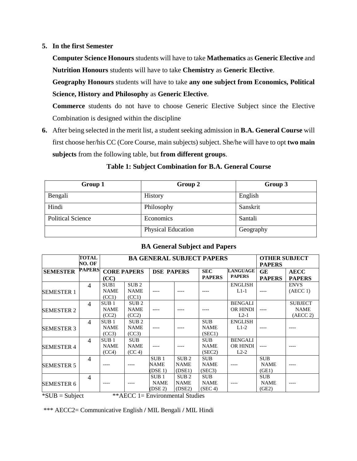#### **5. In the first Semester**

**Computer Science Honours** students will have to take **Mathematics** as **Generic Elective** and **Nutrition Honours** students will have to take **Chemistry** as **Generic Elective**.

**Geography Honours** students will have to take **any one subject from Economics, Political Science, History and Philosophy** as **Generic Elective**.

**Commerce** students do not have to choose Generic Elective Subject since the Elective Combination is designed within the discipline

**6.** After being selected in the merit list, a student seeking admission in **B.A. General Course** will first choose her/his CC (Core Course, main subjects) subject. She/he will have to opt **two main subjects** from the following table, but **from different groups**.

| Group 1                  | Group 2                   | Group 3   |
|--------------------------|---------------------------|-----------|
| Bengali                  | History                   | English   |
| Hindi                    | Philosophy                | Sanskrit  |
| <b>Political Science</b> | Economics                 | Santali   |
|                          | <b>Physical Education</b> | Geography |

#### **Table 1: Subject Combination for B.A. General Course**

|                   | TOTAL<br>NO. OF |                                          | <b>BA GENERAL SUBJECT PAPERS</b>         | <b>OTHER SUBJECT</b><br><b>PAPERS</b>      |                                           |                                      |                                             |                                    |                                           |
|-------------------|-----------------|------------------------------------------|------------------------------------------|--------------------------------------------|-------------------------------------------|--------------------------------------|---------------------------------------------|------------------------------------|-------------------------------------------|
| <b>SEMESTER</b>   | <b>PAPERS</b>   | (CC)                                     | <b>CORE PAPERS</b>                       | <b>DSE PAPERS</b>                          |                                           | <b>SEC</b><br><b>PAPERS</b>          | <b>LANGUAGE</b><br><b>PAPERS</b>            | GE<br><b>PAPERS</b>                | <b>AECC</b><br><b>PAPERS</b>              |
| <b>SEMESTER 1</b> | $\overline{4}$  | SUB1<br><b>NAME</b><br>(CC1)             | SUB <sub>2</sub><br><b>NAME</b><br>(CC1) |                                            |                                           |                                      | <b>ENGLISH</b><br>$L1-1$                    |                                    | <b>ENVS</b><br>(AECC 1)                   |
| <b>SEMESTER 2</b> | $\overline{4}$  | SUB <sub>1</sub><br><b>NAME</b><br>(CC2) | SUB <sub>2</sub><br><b>NAME</b><br>(CC2) |                                            |                                           |                                      | <b>BENGALI</b><br><b>OR HINDI</b><br>$L2-1$ |                                    | <b>SUBJECT</b><br><b>NAME</b><br>(AECC 2) |
| <b>SEMESTER 3</b> | $\overline{4}$  | SUB <sub>1</sub><br><b>NAME</b><br>(CC3) | SUB <sub>2</sub><br><b>NAME</b><br>(CC3) |                                            |                                           | <b>SUB</b><br><b>NAME</b><br>(SEC1)  | <b>ENGLISH</b><br>$L1-2$                    |                                    |                                           |
| <b>SEMESTER 4</b> | $\overline{4}$  | SUB <sub>1</sub><br><b>NAME</b><br>(CC4) | <b>SUB</b><br><b>NAME</b><br>(CC 4)      |                                            |                                           | <b>SUB</b><br><b>NAME</b><br>(SEC2)  | <b>BENGALI</b><br>OR HINDI<br>$L2-2$        | $---$                              |                                           |
| <b>SEMESTER 5</b> | $\overline{4}$  |                                          |                                          | SUB <sub>1</sub><br><b>NAME</b><br>(DSE 1) | SUB <sub>2</sub><br><b>NAME</b><br>(DSE1) | <b>SUB</b><br><b>NAME</b><br>(SEC3)  |                                             | <b>SUB</b><br><b>NAME</b><br>(GE1) |                                           |
| <b>SEMESTER 6</b> | $\overline{4}$  |                                          |                                          | SUB <sub>1</sub><br><b>NAME</b><br>(DSE 2) | SUB <sub>2</sub><br><b>NAME</b><br>(DSE2) | <b>SUB</b><br><b>NAME</b><br>(SEC 4) |                                             | <b>SUB</b><br><b>NAME</b><br>(GE2) |                                           |

#### **BA General Subject and Papers**

 $*SUB = Subject$  \*\*AECC 1= Environmental Studies

\*\*\* AECC2= Communicative English **/** MIL Bengali **/** MIL Hindi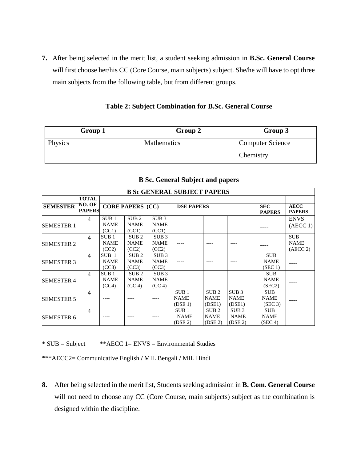**7.** After being selected in the merit list, a student seeking admission in **B.Sc. General Course** will first choose her/his CC (Core Course, main subjects) subject. She/he will have to opt three main subjects from the following table, but from different groups.

**Table 2: Subject Combination for B.Sc. General Course**

| Group 1 | Group 2     | Group 3                 |
|---------|-------------|-------------------------|
| Physics | Mathematics | <b>Computer Science</b> |
|         |             | Chemistry               |

| <b>B Sc GENERAL SUBJECT PAPERS</b> |                         |                                          |                                           |                                           |                                            |                                            |                                                        |                                      |                                       |  |  |  |
|------------------------------------|-------------------------|------------------------------------------|-------------------------------------------|-------------------------------------------|--------------------------------------------|--------------------------------------------|--------------------------------------------------------|--------------------------------------|---------------------------------------|--|--|--|
|                                    | TOTAL                   |                                          |                                           |                                           |                                            |                                            |                                                        |                                      |                                       |  |  |  |
| <b>SEMESTER</b>                    | NO. OF<br><b>PAPERS</b> |                                          | <b>CORE PAPERS (CC)</b>                   |                                           | <b>DSE PAPERS</b>                          |                                            | <b>SEC</b><br><b>PAPERS</b>                            | <b>AECC</b><br><b>PAPERS</b>         |                                       |  |  |  |
| <b>SEMESTER 1</b>                  | $\overline{4}$          | SUB <sub>1</sub><br><b>NAME</b><br>(CC1) | SUB <sub>2</sub><br><b>NAME</b><br>(CC1)  | SUB <sub>3</sub><br><b>NAME</b><br>(CC1)  |                                            |                                            |                                                        |                                      | <b>ENVS</b><br>(AECC 1)               |  |  |  |
| <b>SEMESTER 2</b>                  | $\overline{4}$          | SUB <sub>1</sub><br><b>NAME</b><br>(CC2) | SUB <sub>2</sub><br><b>NAME</b><br>(CC2)  | SUB 3<br><b>NAME</b><br>(CC2)             |                                            |                                            |                                                        |                                      | <b>SUB</b><br><b>NAME</b><br>(AECC 2) |  |  |  |
| <b>SEMESTER 3</b>                  | $\overline{4}$          | SUB <sub>1</sub><br><b>NAME</b><br>(CC3) | SUB <sub>2</sub><br><b>NAME</b><br>(CC3)  | SUB 3<br><b>NAME</b><br>(CC3)             |                                            |                                            |                                                        | <b>SUB</b><br><b>NAME</b><br>(SEC 1) |                                       |  |  |  |
| <b>SEMESTER 4</b>                  | $\overline{4}$          | SUB <sub>1</sub><br><b>NAME</b><br>(CC4) | SUB <sub>2</sub><br><b>NAME</b><br>(CC 4) | SUB <sub>3</sub><br><b>NAME</b><br>(CC 4) |                                            |                                            |                                                        | <b>SUB</b><br><b>NAME</b><br>(SEC2)  |                                       |  |  |  |
| <b>SEMESTER 5</b>                  | $\overline{4}$          |                                          |                                           |                                           | SUB <sub>1</sub><br><b>NAME</b><br>(DSE 1) | SUB <sub>2</sub><br><b>NAME</b><br>(DSE1)  | SUB <sub>3</sub><br><b>NAME</b><br>(DSE1)              | <b>SUB</b><br><b>NAME</b><br>(SEC 3) |                                       |  |  |  |
| <b>SEMESTER 6</b>                  | $\overline{4}$          |                                          |                                           |                                           | SUB <sub>1</sub><br><b>NAME</b><br>(DSE 2) | SUB <sub>2</sub><br><b>NAME</b><br>(DSE 2) | SUB <sub>3</sub><br><b>NAME</b><br>(DSE <sub>2</sub> ) | <b>SUB</b><br><b>NAME</b><br>(SEC 4) |                                       |  |  |  |

#### **B Sc. General Subject and papers**

\* SUB = Subject \*\*AECC 1= ENVS = Environmental Studies

\*\*\*AECC2= Communicative English **/** MIL Bengali **/** MIL Hindi

**8.** After being selected in the merit list, Students seeking admission in **B. Com. General Course** will not need to choose any CC (Core Course, main subjects) subject as the combination is designed within the discipline.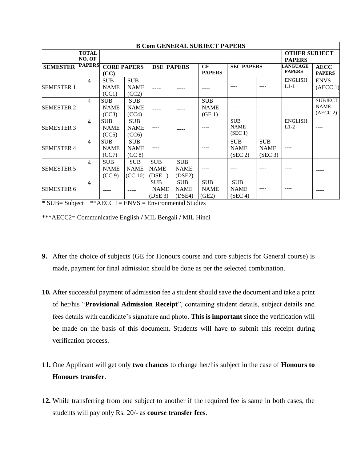|                   |                        |                                     |                                      |                                       |                                                                      | <b>B Com GENERAL SUBJECT PAPERS</b> |                                      |                                      |                              |                                           |
|-------------------|------------------------|-------------------------------------|--------------------------------------|---------------------------------------|----------------------------------------------------------------------|-------------------------------------|--------------------------------------|--------------------------------------|------------------------------|-------------------------------------------|
|                   | <b>TOTAL</b><br>NO. OF |                                     |                                      | <b>OTHER SUBJECT</b><br><b>PAPERS</b> |                                                                      |                                     |                                      |                                      |                              |                                           |
| <b>SEMESTER</b>   | <b>PAPERS</b>          | <b>CORE PAPERS</b><br>(CC)          |                                      |                                       | <b>DSE PAPERS</b><br><b>GE</b><br><b>SEC PAPERS</b><br><b>PAPERS</b> |                                     |                                      | <b>LANGUAGE</b><br><b>PAPERS</b>     | <b>AECC</b><br><b>PAPERS</b> |                                           |
| <b>SEMESTER 1</b> | 4                      | <b>SUB</b><br><b>NAME</b><br>(CC1)  | <b>SUB</b><br><b>NAME</b><br>(CC2)   |                                       |                                                                      |                                     |                                      |                                      | <b>ENGLISH</b><br>$L1-1$     | <b>ENVS</b><br>(AECC 1)                   |
| <b>SEMESTER 2</b> | $\overline{4}$         | <b>SUB</b><br><b>NAME</b><br>(CC3)  | <b>SUB</b><br><b>NAME</b><br>(CC4)   |                                       |                                                                      | <b>SUB</b><br><b>NAME</b><br>(GE1)  |                                      |                                      |                              | <b>SUBJECT</b><br><b>NAME</b><br>(AECC 2) |
| <b>SEMESTER 3</b> | $\overline{4}$         | <b>SUB</b><br><b>NAME</b><br>(CC5)  | <b>SUB</b><br><b>NAME</b><br>(CC6)   | ----                                  |                                                                      |                                     | <b>SUB</b><br><b>NAME</b><br>(SEC 1) |                                      | <b>ENGLISH</b><br>$L1-2$     |                                           |
| <b>SEMESTER 4</b> | $\overline{4}$         | <b>SUB</b><br><b>NAME</b><br>(CC7)  | <b>SUB</b><br><b>NAME</b><br>(CC 8)  | ----                                  |                                                                      |                                     | <b>SUB</b><br><b>NAME</b><br>(SEC 2) | <b>SUB</b><br><b>NAME</b><br>(SEC 3) | ----                         |                                           |
| <b>SEMESTER 5</b> | $\overline{4}$         | <b>SUB</b><br><b>NAME</b><br>(CC 9) | <b>SUB</b><br><b>NAME</b><br>(CC 10) | <b>SUB</b><br><b>NAME</b><br>(DSE 1)  | <b>SUB</b><br><b>NAME</b><br>(DSE2)                                  | ----                                |                                      |                                      |                              |                                           |
| <b>SEMESTER 6</b> | $\overline{4}$         |                                     |                                      | <b>SUB</b><br><b>NAME</b><br>(DSE 3)  | <b>SUB</b><br><b>NAME</b><br>(DSE4)                                  | <b>SUB</b><br><b>NAME</b><br>(GE2)  | <b>SUB</b><br><b>NAME</b><br>(SEC 4) |                                      |                              |                                           |

\* SUB= Subject \*\*AECC 1= ENVS = Environmental Studies

\*\*\*AECC2= Communicative English **/** MIL Bengali **/** MIL Hindi

- **9.** After the choice of subjects (GE for Honours course and core subjects for General course) is made, payment for final admission should be done as per the selected combination.
- **10.** After successful payment of admission fee a student should save the document and take a print of her/his "**Provisional Admission Receipt**", containing student details, subject details and fees details with candidate's signature and photo. **This is important** since the verification will be made on the basis of this document. Students will have to submit this receipt during verification process.
- **11.** One Applicant will get only **two chances** to change her/his subject in the case of **Honours to Honours transfer**.
- **12.** While transferring from one subject to another if the required fee is same in both cases, the students will pay only Rs. 20/- as **course transfer fees**.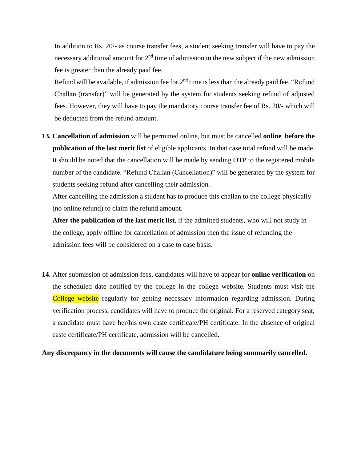In addition to Rs. 20/- as course transfer fees, a student seeking transfer will have to pay the necessary additional amount for  $2<sup>nd</sup>$  time of admission in the new subject if the new admission fee is greater than the already paid fee.

Refund will be available, if admission fee for  $2<sup>nd</sup>$  time is less than the already paid fee. "Refund Challan (transfer)" will be generated by the system for students seeking refund of adjusted fees. However, they will have to pay the mandatory course transfer fee of Rs. 20/- which will be deducted from the refund amount.

**13. Cancellation of admission** will be permitted online, but must be cancelled **online before the publication of the last merit list** of eligible applicants. In that case total refund will be made. It should be noted that the cancellation will be made by sending OTP to the registered mobile number of the candidate. "Refund Challan (Cancellation)" will be generated by the system for students seeking refund after cancelling their admission.

After cancelling the admission a student has to produce this challan to the college physically (no online refund) to claim the refund amount.

**After the publication of the last merit list**, if the admitted students, who will not study in the college, apply offline for cancellation of admission then the issue of refunding the admission fees will be considered on a case to case basis.

**14.** After submission of admission fees, candidates will have to appear for **online verification** on the scheduled date notified by the college in the college website. Students must visit the College website regularly for getting necessary information regarding admission. During verification process, candidates will have to produce the original. For a reserved category seat, a candidate must have her/his own caste certificate/PH certificate. In the absence of original caste certificate/PH certificate, admission will be cancelled.

**Any discrepancy in the documents will cause the candidature being summarily cancelled.**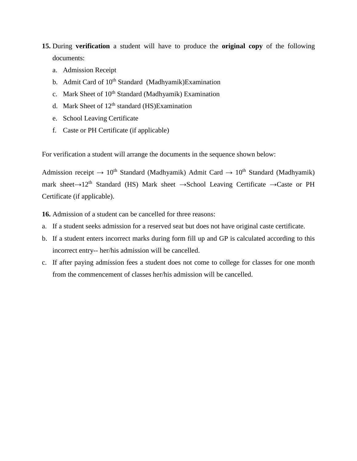- **15.** During **verification** a student will have to produce the **original copy** of the following documents:
	- a. Admission Receipt
	- b. Admit Card of 10<sup>th</sup> Standard (Madhyamik)Examination
	- c. Mark Sheet of 10<sup>th</sup> Standard (Madhyamik) Examination
	- d. Mark Sheet of  $12<sup>th</sup>$  standard (HS)Examination
	- e. School Leaving Certificate
	- f. Caste or PH Certificate (if applicable)

For verification a student will arrange the documents in the sequence shown below:

Admission receipt  $\rightarrow 10^{th}$  Standard (Madhyamik) Admit Card  $\rightarrow 10^{th}$  Standard (Madhyamik) mark sheet**→**12th Standard (HS) Mark sheet **→**School Leaving Certificate **→**Caste or PH Certificate (if applicable).

**16.** Admission of a student can be cancelled for three reasons:

- a. If a student seeks admission for a reserved seat but does not have original caste certificate.
- b. If a student enters incorrect marks during form fill up and GP is calculated according to this incorrect entry-- her/his admission will be cancelled.
- c. If after paying admission fees a student does not come to college for classes for one month from the commencement of classes her/his admission will be cancelled.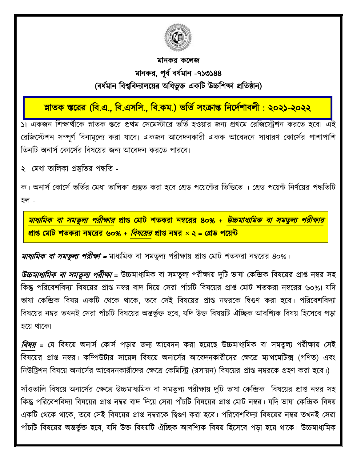

# মানকর কলেজ মানকর, পূর্ বর্র্মবান -৭১৩১৪৪ (র্র্মবান বর্শ্ববর্দ্যােলের অবর্ভুক্ত একবি উচ্চবিক্ষা প্রবিষ্ঠান)

ī স্নাতক স্তরের (বি.এ., বি.এসসি., বি.কম.) ভাত সংক্রান্ত নির্দেশাবলী : ২০২১-২০২২

১। একজন বিক্ষার্বীলক স্নািক স্তলর প্রর্ম সেলমস্টালর ভবিবহওোর জনয প্রর্লম সরবজলেিন করলি হলর্। এই রেজিস্টেশন সম্পূর্ণ বিনামূল্যে করা যাবে। একজন আবেদনকারী একক আবেদনে সাধারণ কোর্সের পাশাপাশি তিনটি অনার্স কোর্সের বিষয়ের জন্য আবেদন করতে পারবে।

২। মেধা তালিকা প্রস্তুতির পদ্ধতি -

ক। অনার্স কোর্সে ভর্তির মেধা তালিকা প্রস্তুত করা হবে গ্রেড পয়েন্টের ভিত্তিতে । গ্রেড পয়েন্ট নির্ণয়ের পদ্ধতিটি হল -

<u>মাধ্যমিক বা সমতুল্য পরীক্ষার প্রাপ্ত মোট শতকরা নম্বরের ৪০% + *উচ্চমাধ্যমিক বা সমতুল্য পরীক্ষার*</u> <u>প্রাপ্ত মোট শতকরা নম্বরের ৬০% + *বিষয়ের* প্রাপ্ত নম্বর × ২ = গ্রেড পয়েন্ট</u>

*মাধ্যমিক বা সমতুল্য পরীক্ষা =* মাধ্যমিক বা সমতুল্য পরীক্ষায় প্রাপ্ত মোট শতকরা নম্বরের ৪০%।

*উচ্চমাধ্যমিক বা সমতুল্য পরীক্ষা* = উচ্চমাধ্যমিক বা সমতুল্য পরীক্ষায় দুটি ভাষা কেন্দ্রিক বিষয়ের প্রাপ্ত নম্বর সহ বকন্তু পবরলর্িবর্দ্যা বর্ষলের প্রাপ্ত নম্বর র্াদ্ বদ্লে সেরা পাাঁচবি বর্ষলের প্রাপ্ত সমাি িিকরা নম্বলরর ৬০%। যবদ্ ভাষা কেন্দ্রিক বিষয় একটি থেকে থাকে, তবে সেই বিষয়ের প্রাপ্ত নম্বরকে দ্বিগুণ করা হবে। পরিবেশবিদ্যা বিষয়ের নম্বর তখনই সেরা পাঁচটি বিষয়ের অন্তর্ভুক্ত হবে, যদি উক্ত বিষয়টি ঐচ্ছিক আবশ্যিক বিষয় হিসেবে পড়া হয়ে থাকে।

*বিষয়* = যে বিষয়ে অনার্স কোর্স পড়ার জন্য আবেদন করা হয়েছে উচ্চমাধ্যমিক বা সমতুল্য পরীক্ষায় সেই বিষয়ের প্রাপ্ত নম্বর। কম্পিউটার সায়েন্স বিষয়ে অনার্সের আবেদনকারীদের ক্ষেত্রে ম্যাথমেটিক্স (গণিত) এবং নিউট্রিশন বিষয়ে অনার্সের আবেদনকারীদের ক্ষেত্রে কেমিস্ট্রি (রসায়ন) বিষয়ের প্রাপ্ত নম্বরকে গ্রহণ করা হবে।)

সাঁওতালি বিষয়ে অনার্সের ক্ষেত্রে উচ্চমাধ্যমিক বা সমতুল্য পরীক্ষায় দুটি ভাষা কেন্দ্রিক বিষয়ের প্রাপ্ত নম্বর সহ কিন্তু পরিবেশবিদ্যা বিষয়ের প্রাপ্ত নম্বর বাদ দিয়ে সেরা পাঁচটি বিষয়ের প্রাপ্ত মোট নম্বর। যদি ভাষা কেন্দ্রিক বিষয় একটি থেকে থাকে, তবে সেই বিষয়ের প্রাপ্ত নম্বরকে দ্বিগুণ করা হবে। পরিবেশবিদ্যা বিষয়ের নম্বর তখনই সেরা পাঁচটি বিষয়ের অন্তর্ভুক্ত হবে, যদি উক্ত বিষয়টি ঐচ্ছিক আবশ্যিক বিষয় হিসেবে পড়া হয়ে থাকে। উচ্চমাধ্যমিক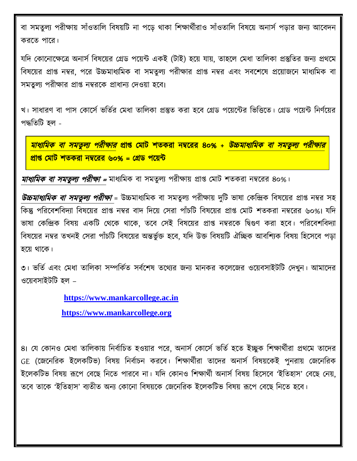বা সমতুল্য পরীক্ষায় সাঁওতালি বিষয়টি না পডে থাকা শিক্ষার্থীরাও সাঁওতালি বিষয়ে অনার্স পডার জন্য আবেদন করলি পালর।

যদি কোনোক্ষেত্রে অনার্স বিষয়ের গ্রেড পয়েন্ট একই (টাই) হয়ে যায়, তাহলে মেধা তালিকা প্রস্তুতির জন্য প্রথমে বিষয়ের প্রাপ্ত নম্বর, পরে উচ্চমাধ্যমিক বা সমতুল্য পরীক্ষার প্রাপ্ত নম্বর এবং সবশেষে প্রয়োজনে মাধ্যমিক বা সমতুল্য পরীক্ষার প্রাপ্ত নম্বরকে প্রাধান্য দেওয়া হবে।

খ। সাধারণ বা পাস কোর্সে ভর্তির মেধা তালিকা প্রস্তুত করা হবে গ্রেড পয়েন্টের ভিত্তিতে। গ্রেড পয়েন্ট নির্ণয়ের পদ্ধতিটি হল -

<u>মাধ্যমিক বা সমতুল্য পরীক্ষার প্রাপ্ত মোট শতকরা নম্বরের ৪০% + *উচ্চমাধ্যমিক বা সমতুল্য পরীক্ষার*</u> প্রাপ্ত মোট শতকরা নম্বরের ৬০% = গ্রেড পয়েন্ট

*মাধ্যমিক বা সমতুল্য পরীক্ষা =* মাধ্যমিক বা সমতুল্য পরীক্ষায় প্রাপ্ত মোট শতকরা নম্বরের ৪০%।

*উচ্চমাধ্যমিক বা সমতুল্য পরীক্ষা* = উচ্চমাধ্যমিক বা সমতুল্য পরীক্ষায় দুটি ভাষা কেন্দ্রিক বিষয়ের প্রাপ্ত নম্বর সহ বকন্তু পবরলর্িবর্দ্যা বর্ষলের প্রাপ্ত নম্বর র্াদ্ বদ্লে সেরা পাাঁচবি বর্ষলের প্রাপ্ত সমাি িিকরা নম্বলরর ৬০%। যবদ্ ভাষা কেন্দ্রিক বিষয় একটি থেকে থাকে, তবে সেই বিষয়ের প্রাপ্ত নম্বরকে দ্বিগুণ করা হবে। পরিবেশবিদ্যা বিষয়ের নম্বর তখনই সেরা পাঁচটি বিষয়ের অন্তর্ভুক্ত হবে, যদি উক্ত বিষয়টি ঐচ্ছিক আবশ্যিক বিষয় হিসেবে পড়া হয়ে থাকে।

৩। ভর্তি এবং মেধা তালিকা সম্পর্কিত সর্বশেষ তথ্যের জন্য মানকর কলেজের ওয়েবসাইটটি দেখুন। আমাদের ওয়েবসাইটটি হল –

 **[https://www.mankarcollege.ac.in](https://www.mankarcollege.ac.in/)**

 **[https://www.mankarcollege.org](https://www.mankarcollege.org/)**

৪। যে কোনও মেধা তালিকায় নির্বাচিত হওয়ার পরে, অনার্স কোর্সে ভর্তি হতে ইচ্ছুক শিক্ষার্থীরা প্রথমে তাদের GE (জেনেরিক ইলেকটিভ) বিষয় নির্বাচন করবে। শিক্ষার্থীরা তাদের অনার্স বিষয়কেই পুনরায় জেনেরিক ইলেকটিভ বিষয় রূপে বেছে নিতে পারবে না। যদি কোনও শিক্ষার্থী অনার্স বিষয় হিসেবে 'ইতিহাস' বেছে নেয়, তবে তাকে 'ইতিহাস' ব্যতীত অন্য কোনো বিষয়কে জেনেরিক ইলেকটিভ বিষয় রূপে বেছে নিতে হবে।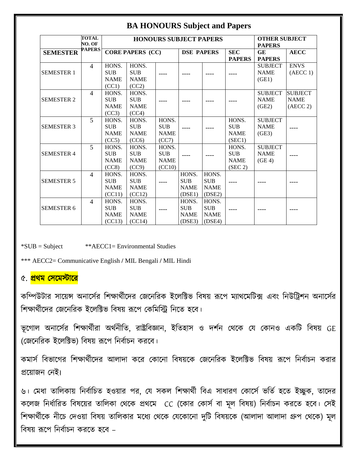## **BA HONOURS Subject and Papers**

|                   | <b>TOTAL</b>   |             |                         |                               |                   |             |               |                      |                |
|-------------------|----------------|-------------|-------------------------|-------------------------------|-------------------|-------------|---------------|----------------------|----------------|
|                   | NO. OF         |             |                         | <b>HONOURS SUBJECT PAPERS</b> |                   |             |               | <b>OTHER SUBJECT</b> |                |
|                   | <b>PAPERS</b>  |             |                         |                               |                   |             |               | <b>PAPERS</b>        |                |
| <b>SEMESTER</b>   |                |             | <b>CORE PAPERS (CC)</b> |                               | <b>DSE PAPERS</b> |             | <b>SEC</b>    | <b>GE</b>            | <b>AECC</b>    |
|                   |                |             |                         |                               |                   |             | <b>PAPERS</b> | <b>PAPERS</b>        |                |
|                   | $\overline{4}$ | HONS.       | HONS.                   |                               |                   |             |               | <b>SUBJECT</b>       | <b>ENVS</b>    |
| <b>SEMESTER 1</b> |                | <b>SUB</b>  | <b>SUB</b>              |                               |                   |             |               | <b>NAME</b>          | (AECC 1)       |
|                   |                | <b>NAME</b> | <b>NAME</b>             |                               |                   |             |               | (GE1)                |                |
|                   |                | (CC1)       | (CC2)                   |                               |                   |             |               |                      |                |
|                   | $\overline{4}$ | HONS.       | HONS.                   |                               |                   |             |               | <b>SUBJECT</b>       | <b>SUBJECT</b> |
| <b>SEMESTER 2</b> |                | <b>SUB</b>  | <b>SUB</b>              |                               |                   |             |               | <b>NAME</b>          | <b>NAME</b>    |
|                   |                | <b>NAME</b> | <b>NAME</b>             |                               |                   |             |               | (GE2)                | (AECC 2)       |
|                   |                | (CC3)       | (CC4)                   |                               |                   |             |               |                      |                |
|                   | 5              | HONS.       | HONS.                   | HONS.                         |                   |             | HONS.         | <b>SUBJECT</b>       |                |
| <b>SEMESTER 3</b> |                | <b>SUB</b>  | <b>SUB</b>              | <b>SUB</b>                    |                   |             | <b>SUB</b>    | <b>NAME</b>          |                |
|                   |                | <b>NAME</b> | <b>NAME</b>             | <b>NAME</b>                   |                   |             | <b>NAME</b>   | (GE3)                |                |
|                   |                | (CC5)       | (CC6)                   | (CC7)                         |                   |             | (SEC1)        |                      |                |
|                   | 5              | HONS.       | HONS.                   | HONS.                         |                   |             | HONS.         | <b>SUBJECT</b>       |                |
| <b>SEMESTER 4</b> |                | <b>SUB</b>  | <b>SUB</b>              | <b>SUB</b>                    |                   |             | <b>SUB</b>    | <b>NAME</b>          |                |
|                   |                | <b>NAME</b> | <b>NAME</b>             | <b>NAME</b>                   |                   |             | <b>NAME</b>   | (GE <sub>4</sub> )   |                |
|                   |                | (CC8)       | (CC9)                   | (CC10)                        |                   |             | (SEC 2)       |                      |                |
|                   | $\overline{4}$ | HONS.       | HONS.                   |                               | HONS.             | HONS.       |               |                      |                |
| <b>SEMESTER 5</b> |                | <b>SUB</b>  | <b>SUB</b>              |                               | <b>SUB</b>        | <b>SUB</b>  |               |                      |                |
|                   |                | <b>NAME</b> | <b>NAME</b>             |                               | <b>NAME</b>       | <b>NAME</b> |               |                      |                |
|                   |                | (CC11)      | (CC12)                  |                               | (DSE1)            | (DSE2)      |               |                      |                |
|                   | $\overline{4}$ | HONS.       | HONS.                   |                               | HONS.             | HONS.       |               |                      |                |
| <b>SEMESTER 6</b> |                | <b>SUB</b>  | <b>SUB</b>              |                               | <b>SUB</b>        | <b>SUB</b>  |               |                      |                |
|                   |                | <b>NAME</b> | <b>NAME</b>             |                               | <b>NAME</b>       | <b>NAME</b> |               |                      |                |
|                   |                | (CC13)      | (CC14)                  |                               | (DSE3)            | (DSE4)      |               |                      |                |

\*SUB = Subject \*\*AECC1= Environmental Studies

\*\*\* AECC2= Communicative English **/** MIL Bengali **/** MIL Hindi

## ৫. <mark>প্রথম সেমেস্টারে</mark>

কম্পিউটার সায়েন্স অনার্সের শিক্ষার্থীদের জেনেরিক ইলেক্টিভ বিষয় রূপে ম্যাথমেটিক্স এবং নিউট্রিশন অনার্সের শিক্ষার্থীদের জেনেরিক ইলেক্টিভ বিষয় রূপে কেমিস্ট্রি নিতে হবে।

ভূগোল অনার্সের শিক্ষার্থীরা অর্থনীতি, রাষ্ট্রবিজ্ঞান, ইতিহাস ও দর্শন থেকে যে কোনও একটি বিষয় GE (সজলনবরক ইলেবিভ) বর্ষে রূলপ বনর্বাচন করলর্।

কমার্স বিভাগের শিক্ষার্থীদের আলাদা করে কোনো বিষয়কে জেনেরিক ইলেক্টিভ বিষয় রূপে নির্বাচন করার প্রলোজন সনই।

৬। মেধা তালিকায় নির্বাচিত হওয়ার পর, যে সকল শিক্ষার্থী বিএ সাধারণ কোর্সে ভর্তি হতে ইচ্ছুক, তাদের কলেজ নির্ধারিত বিষয়ের তালিকা থেকে প্রথমে CC (কোর কোর্স বা মূল বিষয়) নির্বাচন করতে হবে। সেই শিক্ষার্থীকে নীচে দেওয়া বিষয় তালিকার মধ্যে থেকে যেকোনো দুটি বিষয়কে (আলাদা আলাদা গ্রুপ থেকে) মূল বর্ষে রূলপ বনর্বাচন করলি হলর্ –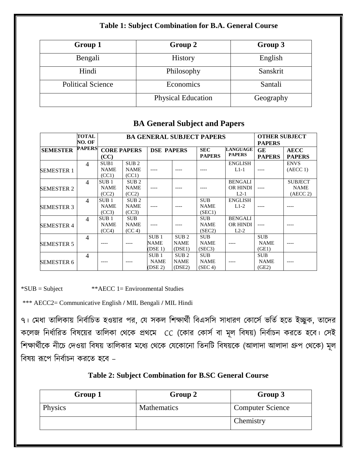## **Table 1: Subject Combination for B.A. General Course**

| Group 1                  | Group 2                   | Group 3   |
|--------------------------|---------------------------|-----------|
| Bengali                  | <b>History</b>            | English   |
| Hindi                    | Philosophy                | Sanskrit  |
| <b>Political Science</b> | Economics                 | Santali   |
|                          | <b>Physical Education</b> | Geography |

## **BA General Subject and Papers**

|                   | TOTAL<br>NO. OF |                    | <b>BA GENERAL SUBJECT PAPERS</b> |                   |                  |               |                 |               | <b>OTHER SUBJECT</b> |
|-------------------|-----------------|--------------------|----------------------------------|-------------------|------------------|---------------|-----------------|---------------|----------------------|
| <b>SEMESTER</b>   | <b>PAPERS</b>   | <b>CORE PAPERS</b> |                                  | <b>DSE PAPERS</b> |                  | <b>SEC</b>    | <b>LANGUAGE</b> | GE            | <b>AECC</b>          |
|                   |                 | (CC)               |                                  |                   |                  | <b>PAPERS</b> | <b>PAPERS</b>   | <b>PAPERS</b> | <b>PAPERS</b>        |
|                   | $\overline{4}$  | SUB1               | SUB <sub>2</sub>                 |                   |                  |               | <b>ENGLISH</b>  |               | <b>ENVS</b>          |
| <b>SEMESTER 1</b> |                 | <b>NAME</b>        | <b>NAME</b>                      |                   |                  |               | $L1-1$          |               | (AECC 1)             |
|                   |                 | (CC1)              | (CC1)                            |                   |                  |               |                 |               |                      |
|                   | $\overline{4}$  | SUB <sub>1</sub>   | SUB <sub>2</sub>                 |                   |                  |               | <b>BENGALI</b>  |               | <b>SUBJECT</b>       |
| <b>SEMESTER 2</b> |                 | <b>NAME</b>        | <b>NAME</b>                      |                   |                  |               | OR HINDI        |               | <b>NAME</b>          |
|                   |                 | (CC2)              | (CC2)                            |                   |                  |               | $L2-1$          |               | (AECC 2)             |
|                   | $\overline{4}$  | SUB <sub>1</sub>   | SUB <sub>2</sub>                 |                   |                  | <b>SUB</b>    | <b>ENGLISH</b>  |               |                      |
| <b>SEMESTER 3</b> |                 | <b>NAME</b>        | <b>NAME</b>                      |                   |                  | <b>NAME</b>   | $L1-2$          |               |                      |
|                   |                 | (CC3)              | (CC3)                            |                   |                  | (SEC1)        |                 |               |                      |
|                   | $\overline{4}$  | SUB <sub>1</sub>   | <b>SUB</b>                       |                   |                  | <b>SUB</b>    | <b>BENGALI</b>  |               |                      |
| <b>SEMESTER 4</b> |                 | <b>NAME</b>        | <b>NAME</b>                      |                   |                  | <b>NAME</b>   | OR HINDI        |               |                      |
|                   |                 | (CC4)              | (CC 4)                           |                   |                  | (SEC2)        | $L2-2$          |               |                      |
|                   | $\overline{4}$  |                    |                                  | SUB <sub>1</sub>  | SUB <sub>2</sub> | <b>SUB</b>    |                 | <b>SUB</b>    |                      |
| <b>SEMESTER 5</b> |                 |                    |                                  | <b>NAME</b>       | <b>NAME</b>      | <b>NAME</b>   |                 | <b>NAME</b>   |                      |
|                   |                 |                    |                                  | (DSE 1)           | (DSE1)           | (SEC3)        |                 | (GE1)         |                      |
|                   | 4               |                    |                                  | SUB <sub>1</sub>  | SUB <sub>2</sub> | <b>SUB</b>    |                 | <b>SUB</b>    |                      |
| <b>SEMESTER 6</b> |                 |                    |                                  | <b>NAME</b>       | <b>NAME</b>      | <b>NAME</b>   |                 | <b>NAME</b>   |                      |
|                   |                 |                    |                                  | $($ DSE 2 $)$     | (DSE2)           | (SEC 4)       |                 | (GE2)         |                      |

 $*SUB = Subject$  \*\*AECC 1= Environmental Studies

\*\*\* AECC2= Communicative English **/** MIL Bengali **/** MIL Hindi

৭। মেধা তালিকায় নির্বাচিত হওয়ার পর, যে সকল শিক্ষার্থী বিএসসি সাধারণ কোর্সে ভর্তি হতে ইচ্ছুক, তাদের কলেজ নির্ধারিত বিষয়ের তালিকা থেকে প্রথমে CC (কোর কোর্স বা মূল বিষয়) নির্বাচন করতে হবে। সেই শিক্ষার্থীকে নীচে দেওয়া বিষয় তালিকার মধ্যে থেকে যেকোনো তিনটি বিষয়কে (আলাদা আলাদা গ্রুপ থেকে) মূল বর্ষে রূলপ বনর্বাচন করলি হলর্ –

## **Table 2: Subject Combination for B.SC General Course**

| Group 1 | Group 2     | Group 3                 |
|---------|-------------|-------------------------|
| Physics | Mathematics | <b>Computer Science</b> |
|         |             | Chemistry               |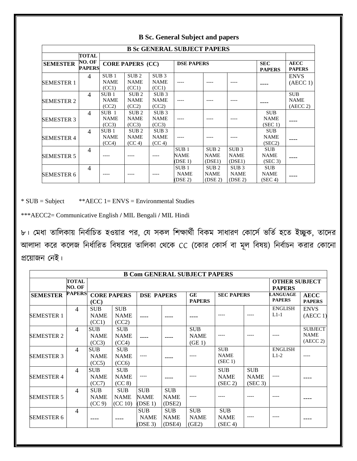|                   |                         |                                          |                                           |                                           | <b>B Sc GENERAL SUBJECT PAPERS</b>         |                                            |                                                        |                                      |                                       |
|-------------------|-------------------------|------------------------------------------|-------------------------------------------|-------------------------------------------|--------------------------------------------|--------------------------------------------|--------------------------------------------------------|--------------------------------------|---------------------------------------|
|                   | <b>TOTAL</b>            |                                          |                                           |                                           |                                            |                                            |                                                        |                                      |                                       |
| <b>SEMESTER</b>   | NO. OF<br><b>PAPERS</b> | <b>CORE PAPERS (CC)</b>                  |                                           |                                           | <b>DSE PAPERS</b>                          |                                            | <b>SEC</b><br><b>PAPERS</b>                            | <b>AECC</b><br><b>PAPERS</b>         |                                       |
| <b>SEMESTER 1</b> | 4                       | SUB <sub>1</sub><br><b>NAME</b><br>(CC1) | SUB <sub>2</sub><br><b>NAME</b><br>(CC1)  | SUB <sub>3</sub><br><b>NAME</b><br>(CC1)  |                                            |                                            |                                                        |                                      | <b>ENVS</b><br>(AECC 1)               |
| <b>SEMESTER 2</b> | $\overline{4}$          | SUB <sub>1</sub><br><b>NAME</b><br>(CC2) | SUB <sub>2</sub><br><b>NAME</b><br>(CC2)  | SUB <sub>3</sub><br><b>NAME</b><br>(CC2)  |                                            |                                            |                                                        |                                      | <b>SUB</b><br><b>NAME</b><br>(AECC 2) |
| <b>SEMESTER 3</b> | $\overline{4}$          | SUB <sub>1</sub><br><b>NAME</b><br>(CC3) | SUB <sub>2</sub><br><b>NAME</b><br>(CC3)  | SUB <sub>3</sub><br><b>NAME</b><br>(CC3)  |                                            |                                            |                                                        | <b>SUB</b><br><b>NAME</b><br>(SEC 1) |                                       |
| <b>SEMESTER 4</b> | $\overline{4}$          | SUB <sub>1</sub><br><b>NAME</b><br>(CC4) | SUB <sub>2</sub><br><b>NAME</b><br>(CC 4) | SUB <sub>3</sub><br><b>NAME</b><br>(CC 4) |                                            |                                            |                                                        | <b>SUB</b><br><b>NAME</b><br>(SEC2)  |                                       |
| <b>SEMESTER 5</b> | 4                       |                                          |                                           |                                           | SUB <sub>1</sub><br>NAME<br>(DSE 1)        | SUB <sub>2</sub><br><b>NAME</b><br>(DSE1)  | SUB <sub>3</sub><br><b>NAME</b><br>(DSE1)              | <b>SUB</b><br><b>NAME</b><br>(SEC 3) |                                       |
| <b>SEMESTER 6</b> | $\overline{4}$          |                                          |                                           |                                           | SUB <sub>1</sub><br><b>NAME</b><br>(DSE 2) | SUB <sub>2</sub><br><b>NAME</b><br>(DSE 2) | SUB <sub>3</sub><br><b>NAME</b><br>(DSE <sub>2</sub> ) | <b>SUB</b><br><b>NAME</b><br>(SEC 4) |                                       |

### **B Sc. General Subject and papers**

 $*$  SUB = Subject  $*$ AECC 1= ENVS = Environmental Studies

\*\*\*AECC2= Communicative English **/** MIL Bengali **/** MIL Hindi

৮। মেধা তালিকায় নির্বাচিত হওয়ার পর, যে সকল শিক্ষার্থী বিকম সাধারণ কোর্সে ভর্তি হতে ইচ্ছুক, তাদের আলাদা করে কলেজ নির্ধারিত বিষয়ের তালিকা থেকে CC (কোর কোর্স বা মূল বিষয়) নির্বাচন করার কোনো প্রলোজন সনই।

|                   | <b>B Com GENERAL SUBJECT PAPERS</b> |                                     |                                      |                                      |                                     |                                    |                                      |                                      |                                       |                                           |  |  |  |  |
|-------------------|-------------------------------------|-------------------------------------|--------------------------------------|--------------------------------------|-------------------------------------|------------------------------------|--------------------------------------|--------------------------------------|---------------------------------------|-------------------------------------------|--|--|--|--|
|                   | <b>TOTAL</b><br>NO. OF              |                                     |                                      |                                      |                                     |                                    |                                      |                                      | <b>OTHER SUBJECT</b><br><b>PAPERS</b> |                                           |  |  |  |  |
| <b>SEMESTER</b>   | <b>PAPERS</b>                       | <b>CORE PAPERS</b><br>(CC)          |                                      | <b>DSE PAPERS</b>                    |                                     | <b>GE</b><br><b>PAPERS</b>         | <b>SEC PAPERS</b>                    |                                      | <b>LANGUAGE</b><br><b>PAPERS</b>      | <b>AECC</b><br><b>PAPERS</b>              |  |  |  |  |
| <b>SEMESTER 1</b> | 4                                   | <b>SUB</b><br><b>NAME</b><br>(CC1)  | <b>SUB</b><br><b>NAME</b><br>(CC2)   |                                      |                                     |                                    |                                      |                                      | <b>ENGLISH</b><br>$L1-1$              | <b>ENVS</b><br>(AECC 1)                   |  |  |  |  |
| <b>SEMESTER 2</b> | $\overline{4}$                      | <b>SUB</b><br><b>NAME</b><br>(CC3)  | <b>SUB</b><br><b>NAME</b><br>(CC4)   |                                      |                                     | <b>SUB</b><br><b>NAME</b><br>(GE1) |                                      |                                      |                                       | <b>SUBJECT</b><br><b>NAME</b><br>(AECC 2) |  |  |  |  |
| <b>SEMESTER 3</b> | $\overline{4}$                      | <b>SUB</b><br><b>NAME</b><br>(CC5)  | <b>SUB</b><br><b>NAME</b><br>(CC6)   | ----                                 |                                     |                                    | <b>SUB</b><br><b>NAME</b><br>(SEC 1) |                                      | <b>ENGLISH</b><br>$L1-2$              |                                           |  |  |  |  |
| <b>SEMESTER 4</b> | $\overline{4}$                      | <b>SUB</b><br><b>NAME</b><br>(CC7)  | <b>SUB</b><br><b>NAME</b><br>(CC 8)  | $--- -$                              |                                     |                                    | <b>SUB</b><br><b>NAME</b><br>(SEC 2) | <b>SUB</b><br><b>NAME</b><br>(SEC 3) | ----                                  |                                           |  |  |  |  |
| <b>SEMESTER 5</b> | $\overline{4}$                      | <b>SUB</b><br><b>NAME</b><br>(CC 9) | <b>SUB</b><br><b>NAME</b><br>(CC 10) | <b>SUB</b><br><b>NAME</b><br>(DSE 1) | <b>SUB</b><br><b>NAME</b><br>(DSE2) |                                    |                                      |                                      |                                       |                                           |  |  |  |  |
| <b>SEMESTER 6</b> | $\overline{4}$                      |                                     |                                      | <b>SUB</b><br><b>NAME</b><br>(DSE 3) | <b>SUB</b><br><b>NAME</b><br>(DSE4) | <b>SUB</b><br><b>NAME</b><br>(GE2) | <b>SUB</b><br><b>NAME</b><br>(SEC 4) | ----                                 |                                       |                                           |  |  |  |  |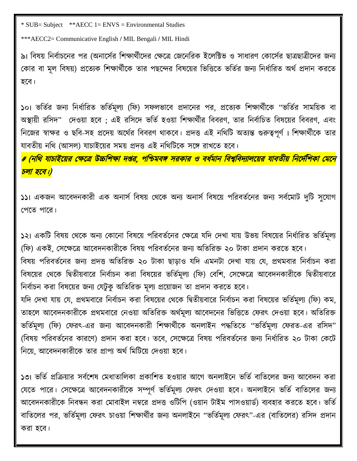\* SUB= Subject \*\*AECC 1= ENVS = Environmental Studies

\*\*\*AECC2= Communicative English **/** MIL Bengali **/** MIL Hindi

৯। বিষয় নির্বাচনের পর (অনার্সের শিক্ষার্থীদের ক্ষেত্রে জেনেরিক ইলেক্টিভ ও সাধারণ কোর্সের ছাত্রছাত্রীদের জন্য কোর বা মূল বিষয়) প্রত্যেক শিক্ষার্থীকে তার পছন্দের বিষয়ের ভিত্তিতে ভর্তির জন্য নির্ধারিত অর্থ প্রদান করতে হলর্।

১০। ভর্তির জন্য নির্ধারিত ভর্তিমূল্য (ফি) সফলভাবে প্রদানের পর, প্রত্যেক শিক্ষার্থীকে "ভর্তির সাময়িক বা অস্থায়ী রসিদ" দেওয়া হবে ; এই রসিদে ভর্তি হওয়া শিক্ষার্থীর বিবরণ, তার নির্বাচিত বিষয়ের বিবরণ, এবং নিজের স্বাক্ষর ও ছবি-সহ প্রদেয় অর্থের বিবরণ থাকবে। প্রদত্ত এই নথিটি অত্যন্ত গুরুত্বপূর্ণ। শিক্ষার্থীকে তার যাবতীয় নথি (আসল) যাচাইয়ের সময় প্রদত্ত এই নথিটিকে সঙ্গে রাখতে হবে।

# (নথি যাচাইয়ের ক্ষেত্রে উচ্চশিক্ষা দণ্ডর, পশ্চিমবঙ্গ সরকার ও বর্ধমান বিশ্ববিদ্যালয়ের যাবতীয় নির্দেশিকা মেনে <mark>চলা হবে।)</mark>

১১। একজন আবেদনকারী এক অনার্স বিষয় থেকে অন্য অনার্স বিষয়ে পরিবর্তনের জন্য সর্বমোট দুটি সুযোগ সপলি পালর।

১২। একটি বিষয় থেকে অন্য কোনো বিষয়ে পরিবর্তনের ক্ষেত্রে যদি দেখা যায় উভয় বিষয়ের নির্ধারিত ভর্তিমূল্য (ফি) একই, সেক্ষেত্রে আবেদনকারীকে বিষয় পরিবর্তনের জন্য অতিরিক্ত ২০ টাকা প্রদান করতে হবে।

বিষয় পরিবর্তনের জন্য প্রদত্ত অতিরিক্ত ২০ টাকা ছাড়াও যদি এমনটা দেখা যায় যে, প্রথমবার নির্বাচন করা বিষয়ের থেকে দ্বিতীয়বারে নির্বাচন করা বিষয়ের ভর্তিমূল্য (ফি) বেশি, সেক্ষেত্রে আবেদনকারীকে দ্বিতীয়বারে নির্বাচন করা বিষয়ের জন্য যেটুকু অতিরিক্ত মূল্য প্রয়োজন তা প্রদান করতে হবে।

যদি দেখা যায় যে, প্রথমবারে নির্বাচন করা বিষয়ের থেকে দ্বিতীয়বারে নির্বাচন করা বিষয়ের ভর্তিমূল্য (ফি) কম, তাহলে আবেদনকারীকে প্রথমবারে নেওয়া অতিরিক্ত অর্থমূল্য আবেদনের ভিত্তিতে ফেরৎ দেওয়া হবে। অতিরিক্ত ভর্তিমূল্য (ফি) ফেরৎ-এর জন্য আবেদনকারী শিক্ষার্থীকে অনলাইন পদ্ধতিতে "ভর্তিমূল্য ফেরত-এর রসিদ" (বিষয় পরিবর্তনের কারণে) প্রদান করা হবে। তবে, সেক্ষেত্রে বিষয় পরিবর্তনের জন্য নির্ধারিত ২০ টাকা কেটে নিয়ে, আবেদনকারীকে তার প্রাপ্য অর্থ মিটিয়ে দেওয়া হবে।

১৩। ভর্তি প্রক্রিয়ার সর্বশেষ মেধাতালিকা প্রকাশিত হওয়ার আগে অনলাইনে ভর্তি বাতিলের জন্য আবেদন করা যেতে পারে। সেক্ষেত্রে আবেদনকারীকে সম্পূর্ণ ভর্তিমূল্য ফেরৎ দেওয়া হবে। অনলাইনে ভর্তি বাতিলের জন্য আবেদনকারীকে নিবন্ধন করা মোবাইল নম্বরে প্রদত্ত ওটিপি (ওয়ান টাইম পাসওয়ার্ড) ব্যবহার করতে হবে। ভর্তি বাতিলের পর, ভর্তিমূল্য ফেরৎ চাওয়া শিক্ষার্থীর জন্য অনলাইনে "ভর্তিমূল্য ফেরৎ"-এর (বাতিলের) রসিদ প্রদান করা হবে।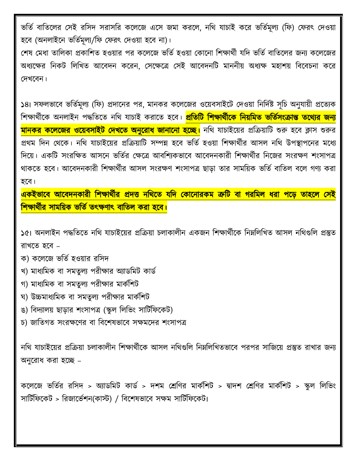ভর্তি বাতিলের সেই রসিদ সরাসরি কলেজে এসে জমা করলে, নথি যাচাই করে ভর্তিমূল্য (ফি) ফেরৎ দেওয়া হবে (অনলাইনে ভর্তিমূল্য/ফি ফেরৎ দেওয়া হবে না)।

শেষ মেধা তালিকা প্রকাশিত হওয়ার পর কলেজে ভর্তি হওয়া কোনো শিক্ষার্থী যদি ভর্তি বাতিলের জন্য কলেজের অধ্যক্ষের নিকট লিখিত আবেদন করেন, সেক্ষেত্রে সেই আবেদনটি মাননীয় অধ্যক্ষ মহাশয় বিবেচনা করে সদ্খলর্ন।

১৪। সফলভাবে ভর্তিমূল্য (ফি) প্রদানের পর, মানকর কলেজের ওয়েবসাইটে দেওয়া নির্দিষ্ট সূচি অনুযায়ী প্রত্যেক শিক্ষার্থীকে অনলাইন পদ্ধতিতে নথি যাচাই করাতে হবে। <mark>প্রতিটি শিক্ষার্থীকে নিয়মিত ভর্তিসংক্রান্ত তথ্যের জন্য</mark> <mark>মানকর কলেজের ওয়েবসাইট দেখতে অনুরোধ জানানো হচ্ছে।</mark> নথি যাচাইয়ের প্রক্রিয়াটি শুরু হবে ক্লাস শুরুর প্রথম দিন থেকে। নথি যাচাইয়ের প্রক্রিয়াটি সম্পন্ন হবে ভর্তি হওয়া শিক্ষার্থীর আসল নথি উপস্থাপনের মধ্যে দিয়ে। একটি সংরক্ষিত আসনে ভর্তির ক্ষেত্রে আবশ্যিকভাবে আবেদনকারী শিক্ষার্থীর নিজের সংরক্ষণ শংসাপত্র থাকতে হবে। আবেদনকারী শিক্ষার্থীর আসল সংরক্ষণ শংসাপত্র ছাড়া তার সাময়িক ভর্তি বাতিল বলে গণ্য করা হলর্।

একইভাবে আবেদনকারী শিক্ষার্থীর প্রদত্ত নথিতে যদি কোনোরকম ত্রুটি বা গরমিল ধরা পড়ে তাহলে সেই <mark>শিক্ষার্থীর সাময়িক ভর্তি তৎক্ষণাৎ বাতিল করা হবে।</mark>

১৫। অনলাইন পদ্ধতিতে নথি যাচাইয়ের প্রক্রিয়া চলাকালীন একজন শিক্ষার্থীকে নিম্নলিখিত আসল নথিগুলি প্রস্তুত রাখলি হলর্ –

- ক) কলেলজ ভবিব হওোর রবেদ্
- খ) মাধ্যমিক বা সমতুল্য পরীক্ষার অ্যাডমিট কার্ড
- গ) মাধ্যমিক বা সমতুল্য পরীক্ষার মার্কশিট
- ঘ) উচ্চমাধ্যমিক বা সমতুল্য পরীক্ষার মার্কশিট
- ঙ) বিদ্যালয় ছাড়ার শংসাপত্র (স্কুল লিভিং সার্টিফিকেট)
- চ) জাতিগত সংরক্ষণের বা বিশেষভাবে সক্ষমদের শংসাপত্র

নথি যাচাইয়ের প্রক্রিয়া চলাকালীন শিক্ষার্থীকে আসল নথিগুলি নিম্নলিখিতভাবে পরপর সাজিয়ে প্রস্তুত রাখার জন্য অনুলরার্ করা হলি –

কলেজে ভর্তির রসিদ > অ্যাডমিট কার্ড > দশম শ্রেণির মার্কশিট > দ্বাদশ শ্রেণির মার্কশিট > স্কুল লিভিং সার্টিফিকেট > রিজার্ভেশন(কাস্ট) / বিশেষভাবে সক্ষম সার্টিফিকেট।